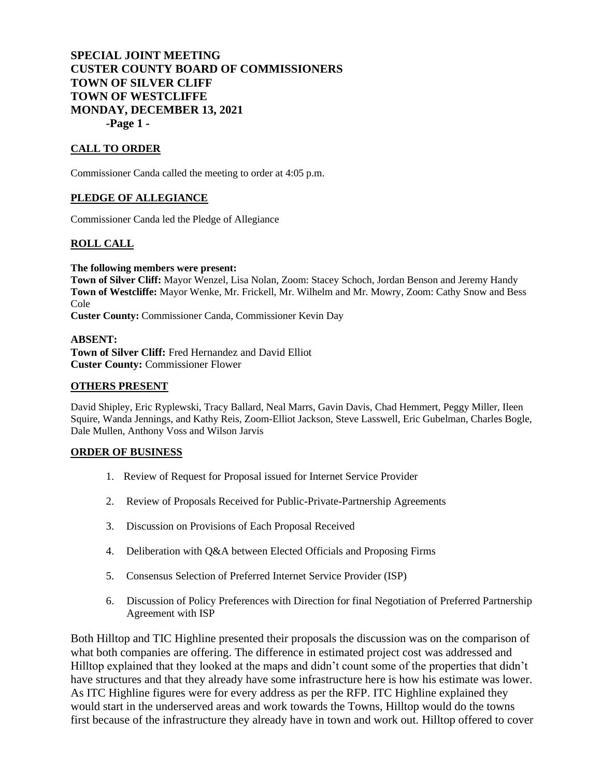# **SPECIAL JOINT MEETING CUSTER COUNTY BOARD OF COMMISSIONERS TOWN OF SILVER CLIFF TOWN OF WESTCLIFFE MONDAY, DECEMBER 13, 2021 -Page 1 -**

## **CALL TO ORDER**

Commissioner Canda called the meeting to order at 4:05 p.m.

## **PLEDGE OF ALLEGIANCE**

Commissioner Canda led the Pledge of Allegiance

## **ROLL CALL**

#### **The following members were present:**

**Town of Silver Cliff:** Mayor Wenzel, Lisa Nolan, Zoom: Stacey Schoch, Jordan Benson and Jeremy Handy **Town of Westcliffe:** Mayor Wenke, Mr. Frickell, Mr. Wilhelm and Mr. Mowry, Zoom: Cathy Snow and Bess Cole

**Custer County:** Commissioner Canda, Commissioner Kevin Day

#### **ABSENT:**

**Town of Silver Cliff:** Fred Hernandez and David Elliot **Custer County:** Commissioner Flower

#### **OTHERS PRESENT**

David Shipley, Eric Ryplewski, Tracy Ballard, Neal Marrs, Gavin Davis, Chad Hemmert, Peggy Miller, Ileen Squire, Wanda Jennings, and Kathy Reis, Zoom-Elliot Jackson, Steve Lasswell, Eric Gubelman, Charles Bogle, Dale Mullen, Anthony Voss and Wilson Jarvis

#### **ORDER OF BUSINESS**

- 1. Review of Request for Proposal issued for Internet Service Provider
- 2. Review of Proposals Received for Public-Private-Partnership Agreements
- 3. Discussion on Provisions of Each Proposal Received
- 4. Deliberation with Q&A between Elected Officials and Proposing Firms
- 5. Consensus Selection of Preferred Internet Service Provider (ISP)
- 6. Discussion of Policy Preferences with Direction for final Negotiation of Preferred Partnership Agreement with ISP

Both Hilltop and TIC Highline presented their proposals the discussion was on the comparison of what both companies are offering. The difference in estimated project cost was addressed and Hilltop explained that they looked at the maps and didn't count some of the properties that didn't have structures and that they already have some infrastructure here is how his estimate was lower. As ITC Highline figures were for every address as per the RFP. ITC Highline explained they would start in the underserved areas and work towards the Towns, Hilltop would do the towns first because of the infrastructure they already have in town and work out. Hilltop offered to cover